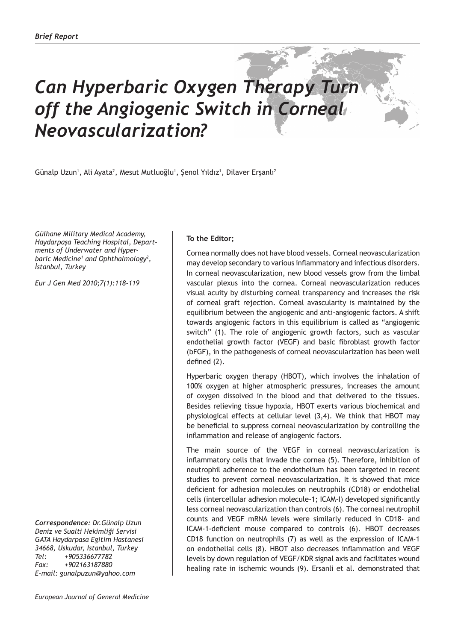## *Can Hyperbaric Oxygen Therapy Turn off the Angiogenic Switch in Corneal Neovascularization?*

Günalp Uzun<sup>1</sup>, Ali Ayata<sup>2</sup>, Mesut Mutluoğlu<sup>1</sup>, Şenol Yıldız<sup>1</sup>, Dilaver Erşanlı<sup>2</sup>

*Gülhane Military Medical Academy, Haydarpaşa Teaching Hospital, Departments of Underwater and Hyperbaric Medicine1 and Ophthalmology<sup>2</sup> , İstanbul, Turkey*

*Eur J Gen Med 2010;7(1):118-119*

*Correspondence: Dr.Günalp Uzun Deniz ve Sualti Hekimliği Servisi GATA Haydarpasa Egitim Hastanesi 34668, Uskudar, Istanbul, Turkey Tel: +905336677782 Fax: +902163187880 E-mail: gunalpuzun@yahoo.com*

## **To the Editor;**

Cornea normally does not have blood vessels. Corneal neovascularization may develop secondary to various inflammatory and infectious disorders. In corneal neovascularization, new blood vessels grow from the limbal vascular plexus into the cornea. Corneal neovascularization reduces visual acuity by disturbing corneal transparency and increases the risk of corneal graft rejection. Corneal avascularity is maintained by the equilibrium between the angiogenic and anti-angiogenic factors. A shift towards angiogenic factors in this equilibrium is called as "angiogenic switch" (1). The role of angiogenic growth factors, such as vascular endothelial growth factor (VEGF) and basic fibroblast growth factor (bFGF), in the pathogenesis of corneal neovascularization has been well defined (2).

Hyperbaric oxygen therapy (HBOT), which involves the inhalation of 100% oxygen at higher atmospheric pressures, increases the amount of oxygen dissolved in the blood and that delivered to the tissues. Besides relieving tissue hypoxia, HBOT exerts various biochemical and physiological effects at cellular level (3,4). We think that HBOT may be beneficial to suppress corneal neovascularization by controlling the inflammation and release of angiogenic factors.

The main source of the VEGF in corneal neovascularization is inflammatory cells that invade the cornea (5). Therefore, inhibition of neutrophil adherence to the endothelium has been targeted in recent studies to prevent corneal neovascularization. It is showed that mice deficient for adhesion molecules on neutrophils (CD18) or endothelial cells (intercellular adhesion molecule-1; ICAM-I) developed significantly less corneal neovascularization than controls (6). The corneal neutrophil counts and VEGF mRNA levels were similarly reduced in CD18- and ICAM-1-deficient mouse compared to controls (6). HBOT decreases CD18 function on neutrophils (7) as well as the expression of ICAM-1 on endothelial cells (8). HBOT also decreases inflammation and VEGF levels by down regulation of VEGF/KDR signal axis and facilitates wound healing rate in ischemic wounds (9). Ersanli et al. demonstrated that